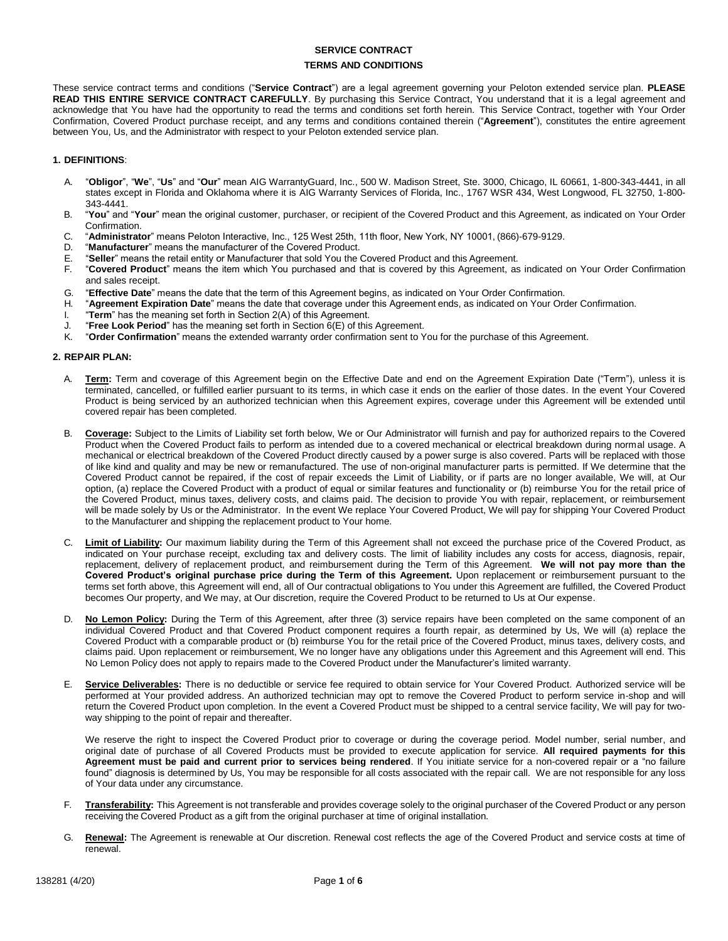# **SERVICE CONTRACT TERMS AND CONDITIONS**

These service contract terms and conditions ("**Service Contract**") are a legal agreement governing your Peloton extended service plan. **PLEASE READ THIS ENTIRE SERVICE CONTRACT CAREFULLY**. By purchasing this Service Contract, You understand that it is a legal agreement and acknowledge that You have had the opportunity to read the terms and conditions set forth herein. This Service Contract, together with Your Order Confirmation, Covered Product purchase receipt, and any terms and conditions contained therein ("**Agreement**"), constitutes the entire agreement between You, Us, and the Administrator with respect to your Peloton extended service plan.

## **1. DEFINITIONS**:

- A. "**Obligor**", "**We**", "**Us**" and "**Our**" mean AIG WarrantyGuard, Inc., 500 W. Madison Street, Ste. 3000, Chicago, IL 60661, 1-800-343-4441, in all states except in Florida and Oklahoma where it is AIG Warranty Services of Florida, Inc., 1767 WSR 434, West Longwood, FL 32750, 1-800- 343-4441.
- B. "**You**" and "**Your**" mean the original customer, purchaser, or recipient of the Covered Product and this Agreement, as indicated on Your Order Confirmation.
- C. "**Administrator**" means Peloton Interactive, Inc., 125 West 25th, 11th floor, New York, NY 10001, (866)-679-9129.
- "Manufacturer" means the manufacturer of the Covered Product.
- E. "**Seller**" means the retail entity or Manufacturer that sold You the Covered Product and this Agreement.
- F. "**Covered Product**" means the item which You purchased and that is covered by this Agreement, as indicated on Your Order Confirmation and sales receipt.
- G. "**Effective Date**" means the date that the term of this Agreement begins, as indicated on Your Order Confirmation.
- H. "**Agreement Expiration Date**" means the date that coverage under this Agreement ends, as indicated on Your Order Confirmation.
- I. "**Term**" has the meaning set forth in Section 2(A) of this Agreement.
- J. "**Free Look Period**" has the meaning set forth in Section 6(E) of this Agreement.
- K. "**Order Confirmation**" means the extended warranty order confirmation sent to You for the purchase of this Agreement.

### **2. REPAIR PLAN:**

- A. **Term:** Term and coverage of this Agreement begin on the Effective Date and end on the Agreement Expiration Date ("Term"), unless it is terminated, cancelled, or fulfilled earlier pursuant to its terms, in which case it ends on the earlier of those dates. In the event Your Covered Product is being serviced by an authorized technician when this Agreement expires, coverage under this Agreement will be extended until covered repair has been completed.
- B. **Coverage:** Subject to the Limits of Liability set forth below, We or Our Administrator will furnish and pay for authorized repairs to the Covered Product when the Covered Product fails to perform as intended due to a covered mechanical or electrical breakdown during normal usage. A mechanical or electrical breakdown of the Covered Product directly caused by a power surge is also covered. Parts will be replaced with those of like kind and quality and may be new or remanufactured. The use of non-original manufacturer parts is permitted. If We determine that the Covered Product cannot be repaired, if the cost of repair exceeds the Limit of Liability, or if parts are no longer available, We will, at Our option, (a) replace the Covered Product with a product of equal or similar features and functionality or (b) reimburse You for the retail price of the Covered Product, minus taxes, delivery costs, and claims paid. The decision to provide You with repair, replacement, or reimbursement will be made solely by Us or the Administrator. In the event We replace Your Covered Product, We will pay for shipping Your Covered Product to the Manufacturer and shipping the replacement product to Your home.
- C. **Limit of Liability:** Our maximum liability during the Term of this Agreement shall not exceed the purchase price of the Covered Product, as indicated on Your purchase receipt, excluding tax and delivery costs. The limit of liability includes any costs for access, diagnosis, repair, replacement, delivery of replacement product, and reimbursement during the Term of this Agreement. **We will not pay more than the Covered Product's original purchase price during the Term of this Agreement.** Upon replacement or reimbursement pursuant to the terms set forth above, this Agreement will end, all of Our contractual obligations to You under this Agreement are fulfilled, the Covered Product becomes Our property, and We may, at Our discretion, require the Covered Product to be returned to Us at Our expense.
- D. **No Lemon Policy:** During the Term of this Agreement, after three (3) service repairs have been completed on the same component of an individual Covered Product and that Covered Product component requires a fourth repair, as determined by Us, We will (a) replace the Covered Product with a comparable product or (b) reimburse You for the retail price of the Covered Product, minus taxes, delivery costs, and claims paid. Upon replacement or reimbursement, We no longer have any obligations under this Agreement and this Agreement will end. This No Lemon Policy does not apply to repairs made to the Covered Product under the Manufacturer's limited warranty.
- E. **Service Deliverables:** There is no deductible or service fee required to obtain service for Your Covered Product. Authorized service will be performed at Your provided address. An authorized technician may opt to remove the Covered Product to perform service in-shop and will return the Covered Product upon completion. In the event a Covered Product must be shipped to a central service facility, We will pay for twoway shipping to the point of repair and thereafter.

We reserve the right to inspect the Covered Product prior to coverage or during the coverage period. Model number, serial number, and original date of purchase of all Covered Products must be provided to execute application for service. **All required payments for this Agreement must be paid and current prior to services being rendered**. If You initiate service for a non-covered repair or a "no failure found" diagnosis is determined by Us, You may be responsible for all costs associated with the repair call. We are not responsible for any loss of Your data under any circumstance.

- F. **Transferability:** This Agreement is not transferable and provides coverage solely to the original purchaser of the Covered Product or any person receiving the Covered Product as a gift from the original purchaser at time of original installation.
- G. **Renewal:** The Agreement is renewable at Our discretion. Renewal cost reflects the age of the Covered Product and service costs at time of renewal.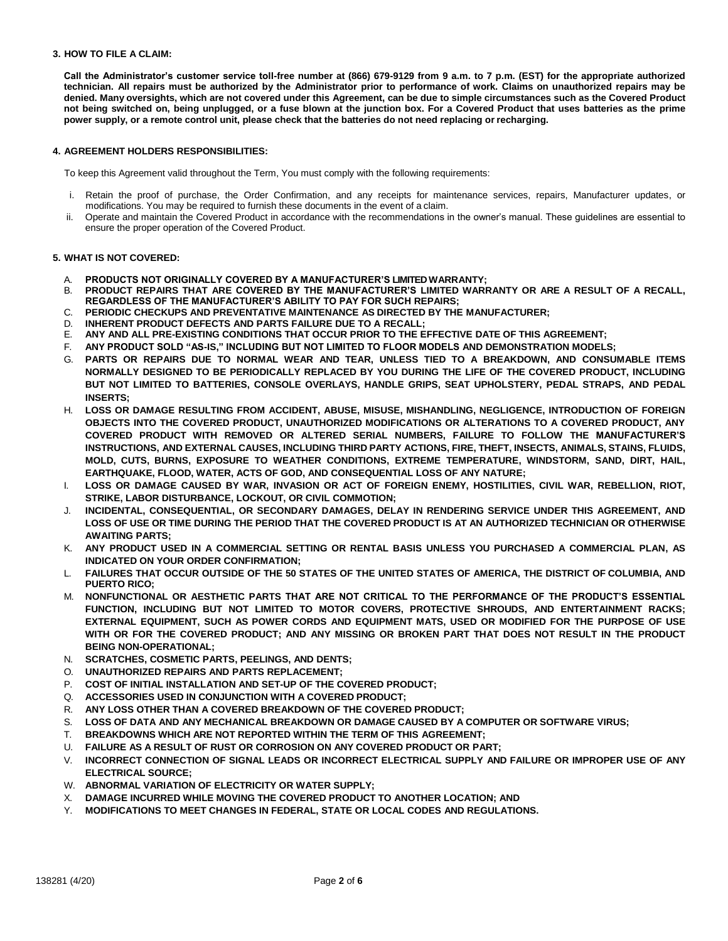### **3. HOW TO FILE A CLAIM:**

**Call the Administrator's customer service toll-free number at (866) 679-9129 from 9 a.m. to 7 p.m. (EST) for the appropriate authorized** technician. All repairs must be authorized by the Administrator prior to performance of work. Claims on unauthorized repairs may be denied. Many oversights, which are not covered under this Agreement, can be due to simple circumstances such as the Covered Product **not being switched on, being unplugged, or a fuse blown at the junction box. For a Covered Product that uses batteries as the prime power supply, or a remote control unit, please check that the batteries do not need replacing or recharging.**

#### **4. AGREEMENT HOLDERS RESPONSIBILITIES:**

To keep this Agreement valid throughout the Term, You must comply with the following requirements:

- i. Retain the proof of purchase, the Order Confirmation, and any receipts for maintenance services, repairs, Manufacturer updates, or modifications. You may be required to furnish these documents in the event of a claim.
- ii. Operate and maintain the Covered Product in accordance with the recommendations in the owner's manual. These guidelines are essential to ensure the proper operation of the Covered Product.

#### **5. WHAT IS NOT COVERED:**

- A. **PRODUCTS NOT ORIGINALLY COVERED BY A MANUFACTURER'S LIMITED WARRANTY;**
- B. **PRODUCT REPAIRS THAT ARE COVERED BY THE MANUFACTURER'S LIMITED WARRANTY OR ARE A RESULT OF A RECALL, REGARDLESS OF THE MANUFACTURER'S ABILITY TO PAY FOR SUCH REPAIRS;**
- C. **PERIODIC CHECKUPS AND PREVENTATIVE MAINTENANCE AS DIRECTED BY THE MANUFACTURER;**
- D. **INHERENT PRODUCT DEFECTS AND PARTS FAILURE DUE TO A RECALL;**
- E. **ANY AND ALL PRE-EXISTING CONDITIONS THAT OCCUR PRIOR TO THE EFFECTIVE DATE OF THIS AGREEMENT;**
- F. **ANY PRODUCT SOLD "AS-IS," INCLUDING BUT NOT LIMITED TO FLOOR MODELS AND DEMONSTRATION MODELS;**
- G. **PARTS OR REPAIRS DUE TO NORMAL WEAR AND TEAR, UNLESS TIED TO A BREAKDOWN, AND CONSUMABLE ITEMS NORMALLY DESIGNED TO BE PERIODICALLY REPLACED BY YOU DURING THE LIFE OF THE COVERED PRODUCT, INCLUDING BUT NOT LIMITED TO BATTERIES, CONSOLE OVERLAYS, HANDLE GRIPS, SEAT UPHOLSTERY, PEDAL STRAPS, AND PEDAL INSERTS;**
- H. **LOSS OR DAMAGE RESULTING FROM ACCIDENT, ABUSE, MISUSE, MISHANDLING, NEGLIGENCE, INTRODUCTION OF FOREIGN OBJECTS INTO THE COVERED PRODUCT, UNAUTHORIZED MODIFICATIONS OR ALTERATIONS TO A COVERED PRODUCT, ANY COVERED PRODUCT WITH REMOVED OR ALTERED SERIAL NUMBERS, FAILURE TO FOLLOW THE MANUFACTURER'S INSTRUCTIONS, AND EXTERNAL CAUSES, INCLUDING THIRD PARTY ACTIONS, FIRE, THEFT, INSECTS, ANIMALS, STAINS, FLUIDS, MOLD, CUTS, BURNS, EXPOSURE TO WEATHER CONDITIONS, EXTREME TEMPERATURE, WINDSTORM, SAND, DIRT, HAIL, EARTHQUAKE, FLOOD, WATER, ACTS OF GOD, AND CONSEQUENTIAL LOSS OF ANY NATURE;**
- I. **LOSS OR DAMAGE CAUSED BY WAR, INVASION OR ACT OF FOREIGN ENEMY, HOSTILITIES, CIVIL WAR, REBELLION, RIOT, STRIKE, LABOR DISTURBANCE, LOCKOUT, OR CIVIL COMMOTION;**
- J. **INCIDENTAL, CONSEQUENTIAL, OR SECONDARY DAMAGES, DELAY IN RENDERING SERVICE UNDER THIS AGREEMENT, AND**  LOSS OF USE OR TIME DURING THE PERIOD THAT THE COVERED PRODUCT IS AT AN AUTHORIZED TECHNICIAN OR OTHERWISE **AWAITING PARTS;**
- K. **ANY PRODUCT USED IN A COMMERCIAL SETTING OR RENTAL BASIS UNLESS YOU PURCHASED A COMMERCIAL PLAN, AS INDICATED ON YOUR ORDER CONFIRMATION;**
- L. **FAILURES THAT OCCUR OUTSIDE OF THE 50 STATES OF THE UNITED STATES OF AMERICA, THE DISTRICT OF COLUMBIA, AND PUERTO RICO;**
- M. **NONFUNCTIONAL OR AESTHETIC PARTS THAT ARE NOT CRITICAL TO THE PERFORMANCE OF THE PRODUCT'S ESSENTIAL FUNCTION, INCLUDING BUT NOT LIMITED TO MOTOR COVERS, PROTECTIVE SHROUDS, AND ENTERTAINMENT RACKS; EXTERNAL EQUIPMENT, SUCH AS POWER CORDS AND EQUIPMENT MATS, USED OR MODIFIED FOR THE PURPOSE OF USE WITH OR FOR THE COVERED PRODUCT; AND ANY MISSING OR BROKEN PART THAT DOES NOT RESULT IN THE PRODUCT BEING NON-OPERATIONAL;**
- N. **SCRATCHES, COSMETIC PARTS, PEELINGS, AND DENTS;**
- O. **UNAUTHORIZED REPAIRS AND PARTS REPLACEMENT;**
- P. **COST OF INITIAL INSTALLATION AND SET-UP OF THE COVERED PRODUCT;**
- Q. **ACCESSORIES USED IN CONJUNCTION WITH A COVERED PRODUCT;**
- R. **ANY LOSS OTHER THAN A COVERED BREAKDOWN OF THE COVERED PRODUCT;**
- S. **LOSS OF DATA AND ANY MECHANICAL BREAKDOWN OR DAMAGE CAUSED BY A COMPUTER OR SOFTWARE VIRUS;**
- T. **BREAKDOWNS WHICH ARE NOT REPORTED WITHIN THE TERM OF THIS AGREEMENT;**
- U. **FAILURE AS A RESULT OF RUST OR CORROSION ON ANY COVERED PRODUCT OR PART;**
- V. **INCORRECT CONNECTION OF SIGNAL LEADS OR INCORRECT ELECTRICAL SUPPLY AND FAILURE OR IMPROPER USE OF ANY ELECTRICAL SOURCE;**
- W. **ABNORMAL VARIATION OF ELECTRICITY OR WATER SUPPLY;**
- X. **DAMAGE INCURRED WHILE MOVING THE COVERED PRODUCT TO ANOTHER LOCATION; AND**
- Y. **MODIFICATIONS TO MEET CHANGES IN FEDERAL, STATE OR LOCAL CODES AND REGULATIONS.**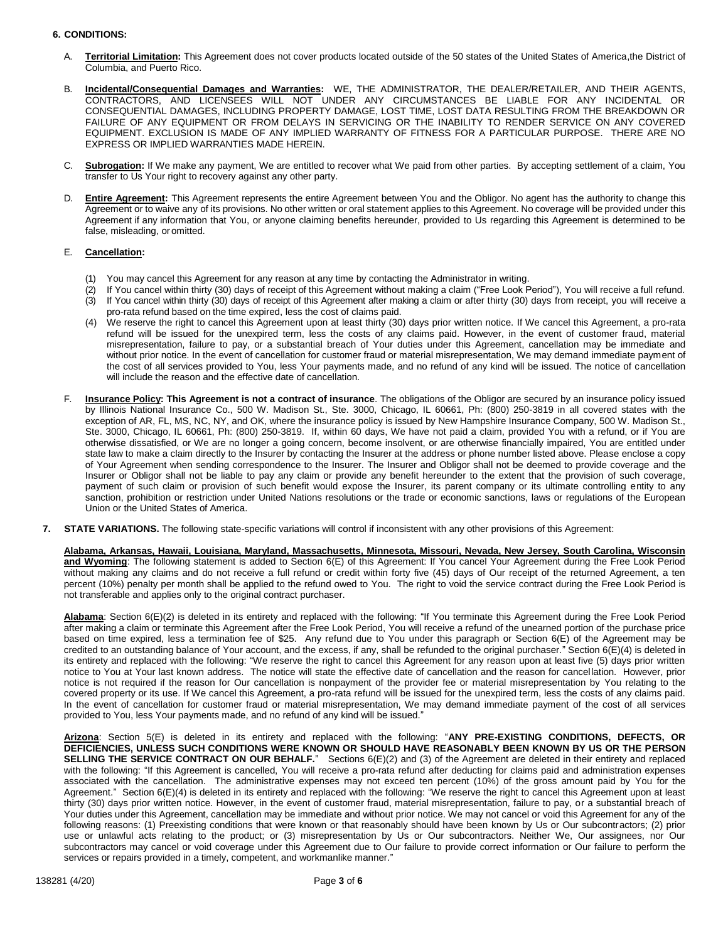## **6. CONDITIONS:**

- A. **Territorial Limitation:** This Agreement does not cover products located outside of the 50 states of the United States of America,the District of Columbia, and Puerto Rico.
- B. **Incidental/Consequential Damages and Warranties:** WE, THE ADMINISTRATOR, THE DEALER/RETAILER, AND THEIR AGENTS, CONTRACTORS, AND LICENSEES WILL NOT UNDER ANY CIRCUMSTANCES BE LIABLE FOR ANY INCIDENTAL OR CONSEQUENTIAL DAMAGES, INCLUDING PROPERTY DAMAGE, LOST TIME, LOST DATA RESULTING FROM THE BREAKDOWN OR FAILURE OF ANY EQUIPMENT OR FROM DELAYS IN SERVICING OR THE INABILITY TO RENDER SERVICE ON ANY COVERED EQUIPMENT. EXCLUSION IS MADE OF ANY IMPLIED WARRANTY OF FITNESS FOR A PARTICULAR PURPOSE. THERE ARE NO EXPRESS OR IMPLIED WARRANTIES MADE HEREIN.
- C. **Subrogation:** If We make any payment, We are entitled to recover what We paid from other parties. By accepting settlement of a claim, You transfer to Us Your right to recovery against any other party.
- D. **Entire Agreement:** This Agreement represents the entire Agreement between You and the Obligor. No agent has the authority to change this Agreement or to waive any of its provisions. No other written or oral statement applies to this Agreement. No coverage will be provided under this Agreement if any information that You, or anyone claiming benefits hereunder, provided to Us regarding this Agreement is determined to be false, misleading, or omitted.

### E. **Cancellation:**

- You may cancel this Agreement for any reason at any time by contacting the Administrator in writing.
- (2) If You cancel within thirty (30) days of receipt of this Agreement without making a claim ("Free Look Period"), You will receive a full refund. (3) If You cancel within thirty (30) days of receipt of this Agreement after making a claim or after thirty (30) days from receipt, you will receive a pro-rata refund based on the time expired, less the cost of claims paid.
- (4) We reserve the right to cancel this Agreement upon at least thirty (30) days prior written notice. If We cancel this Agreement, a pro-rata refund will be issued for the unexpired term, less the costs of any claims paid. However, in the event of customer fraud, material misrepresentation, failure to pay, or a substantial breach of Your duties under this Agreement, cancellation may be immediate and without prior notice. In the event of cancellation for customer fraud or material misrepresentation, We may demand immediate payment of the cost of all services provided to You, less Your payments made, and no refund of any kind will be issued. The notice of cancellation will include the reason and the effective date of cancellation.
- F. **Insurance Policy: This Agreement is not a contract of insurance**. The obligations of the Obligor are secured by an insurance policy issued by Illinois National Insurance Co., 500 W. Madison St., Ste. 3000, Chicago, IL 60661, Ph: (800) 250-3819 in all covered states with the exception of AR, FL, MS, NC, NY, and OK, where the insurance policy is issued by New Hampshire Insurance Company, 500 W. Madison St., Ste. 3000, Chicago, IL 60661, Ph: (800) 250-3819. If, within 60 days, We have not paid a claim, provided You with a refund, or if You are otherwise dissatisfied, or We are no longer a going concern, become insolvent, or are otherwise financially impaired, You are entitled under state law to make a claim directly to the Insurer by contacting the Insurer at the address or phone number listed above. Please enclose a copy of Your Agreement when sending correspondence to the Insurer. The Insurer and Obligor shall not be deemed to provide coverage and the Insurer or Obligor shall not be liable to pay any claim or provide any benefit hereunder to the extent that the provision of such coverage, payment of such claim or provision of such benefit would expose the Insurer, its parent company or its ultimate controlling entity to any sanction, prohibition or restriction under United Nations resolutions or the trade or economic sanctions, laws or regulations of the European Union or the United States of America.
- **7. STATE VARIATIONS.** The following state-specific variations will control if inconsistent with any other provisions of this Agreement:

**Alabama, Arkansas, Hawaii, Louisiana, Maryland, Massachusetts, Minnesota, Missouri, Nevada, New Jersey, South Carolina, Wisconsin and Wyoming**: The following statement is added to Section 6(E) of this Agreement: If You cancel Your Agreement during the Free Look Period without making any claims and do not receive a full refund or credit within forty five (45) days of Our receipt of the returned Agreement, a ten percent (10%) penalty per month shall be applied to the refund owed to You. The right to void the service contract during the Free Look Period is not transferable and applies only to the original contract purchaser.

**Alabama**: Section 6(E)(2) is deleted in its entirety and replaced with the following: "If You terminate this Agreement during the Free Look Period after making a claim or terminate this Agreement after the Free Look Period, You will receive a refund of the unearned portion of the purchase price based on time expired, less a termination fee of \$25. Any refund due to You under this paragraph or Section 6(E) of the Agreement may be credited to an outstanding balance of Your account, and the excess, if any, shall be refunded to the original purchaser." Section 6(E)(4) is deleted in its entirety and replaced with the following: "We reserve the right to cancel this Agreement for any reason upon at least five (5) days prior written notice to You at Your last known address. The notice will state the effective date of cancellation and the reason for cancellation. However, prior notice is not required if the reason for Our cancellation is nonpayment of the provider fee or material misrepresentation by You relating to the covered property or its use. If We cancel this Agreement, a pro-rata refund will be issued for the unexpired term, less the costs of any claims paid. In the event of cancellation for customer fraud or material misrepresentation, We may demand immediate payment of the cost of all services provided to You, less Your payments made, and no refund of any kind will be issued."

**Arizona**: Section 5(E) is deleted in its entirety and replaced with the following: "**ANY PRE-EXISTING CONDITIONS, DEFECTS, OR DEFICIENCIES, UNLESS SUCH CONDITIONS WERE KNOWN OR SHOULD HAVE REASONABLY BEEN KNOWN BY US OR THE PERSON SELLING THE SERVICE CONTRACT ON OUR BEHALF.**"Sections 6(E)(2) and (3) of the Agreement are deleted in their entirety and replaced with the following: "If this Agreement is cancelled, You will receive a pro-rata refund after deducting for claims paid and administration expenses associated with the cancellation. The administrative expenses may not exceed ten percent (10%) of the gross amount paid by You for the Agreement." Section 6(E)(4) is deleted in its entirety and replaced with the following: "We reserve the right to cancel this Agreement upon at least thirty (30) days prior written notice. However, in the event of customer fraud, material misrepresentation, failure to pay, or a substantial breach of Your duties under this Agreement, cancellation may be immediate and without prior notice. We may not cancel or void this Agreement for any of the following reasons: (1) Preexisting conditions that were known or that reasonably should have been known by Us or Our subcontractors; (2) prior use or unlawful acts relating to the product; or (3) misrepresentation by Us or Our subcontractors. Neither We, Our assignees, nor Our subcontractors may cancel or void coverage under this Agreement due to Our failure to provide correct information or Our failure to perform the services or repairs provided in a timely, competent, and workmanlike manner."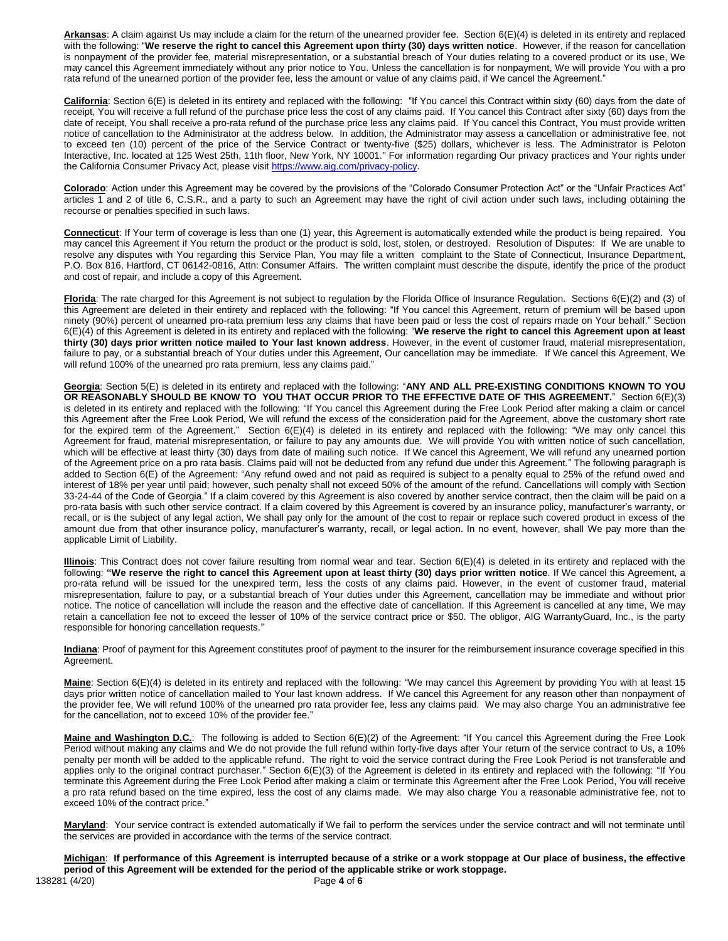**Arkansas**: A claim against Us may include a claim for the return of the unearned provider fee. Section 6(E)(4) is deleted in its entirety and replaced with the following: "**We reserve the right to cancel this Agreement upon thirty (30) days written notice**. However, if the reason for cancellation is nonpayment of the provider fee, material misrepresentation, or a substantial breach of Your duties relating to a covered product or its use, We may cancel this Agreement immediately without any prior notice to You. Unless the cancellation is for nonpayment, We will provide You with a pro rata refund of the unearned portion of the provider fee, less the amount or value of any claims paid, if We cancel the Agreement."

California: Section 6(E) is deleted in its entirety and replaced with the following: "If You cancel this Contract within sixty (60) days from the date of receipt, You will receive a full refund of the purchase price less the cost of any claims paid. If You cancel this Contract after sixty (60) days from the date of receipt, You shall receive a pro-rata refund of the purchase price less any claims paid. If You cancel this Contract, You must provide written notice of cancellation to the Administrator at the address below. In addition, the Administrator may assess a cancellation or administrative fee, not to exceed ten (10) percent of the price of the Service Contract or twenty-five (\$25) dollars, whichever is less. The Administrator is Peloton Interactive, Inc. located at 125 West 25th, 11th floor, New York, NY 10001." For information regarding Our privacy practices and Your rights under the California Consumer Privacy Act, please visi[t https://www.aig.com/privacy-policy.](https://www.aig.com/privacy-policy)

**Colorado**: Action under this Agreement may be covered by the provisions of the "Colorado Consumer Protection Act" or the "Unfair Practices Act" articles 1 and 2 of title 6, C.S.R., and a party to such an Agreement may have the right of civil action under such laws, including obtaining the recourse or penalties specified in such laws.

**Connecticut**: If Your term of coverage is less than one (1) year, this Agreement is automatically extended while the product is being repaired. You may cancel this Agreement if You return the product or the product is sold, lost, stolen, or destroyed. Resolution of Disputes: If We are unable to resolve any disputes with You regarding this Service Plan, You may file a written complaint to the State of Connecticut, Insurance Department, P.O. Box 816, Hartford, CT 06142-0816, Attn: Consumer Affairs. The written complaint must describe the dispute, identify the price of the product and cost of repair, and include a copy of this Agreement.

**Florida**: The rate charged for this Agreement is not subject to regulation by the Florida Office of Insurance Regulation. Sections 6(E)(2) and (3) of this Agreement are deleted in their entirety and replaced with the following: "If You cancel this Agreement, return of premium will be based upon ninety (90%) percent of unearned pro-rata premium less any claims that have been paid or less the cost of repairs made on Your behalf." Section 6(E)(4) of this Agreement is deleted in its entirety and replaced with the following: "**We reserve the right to cancel this Agreement upon at least thirty (30) days prior written notice mailed to Your last known address**. However, in the event of customer fraud, material misrepresentation, failure to pay, or a substantial breach of Your duties under this Agreement, Our cancellation may be immediate. If We cancel this Agreement, We will refund 100% of the unearned pro rata premium, less any claims paid."

**Georgia**: Section 5(E) is deleted in its entirety and replaced with the following: "**ANY AND ALL PRE-EXISTING CONDITIONS KNOWN TO YOU OR REASONABLY SHOULD BE KNOW TO YOU THAT OCCUR PRIOR TO THE EFFECTIVE DATE OF THIS AGREEMENT.**" Section 6(E)(3) is deleted in its entirety and replaced with the following: "If You cancel this Agreement during the Free Look Period after making a claim or cancel this Agreement after the Free Look Period, We will refund the excess of the consideration paid for the Agreement, above the customary short rate for the expired term of the Agreement." Section 6(E)(4) is deleted in its entirety and replaced with the following: "We may only cancel this Agreement for fraud, material misrepresentation, or failure to pay any amounts due. We will provide You with written notice of such cancellation, which will be effective at least thirty (30) days from date of mailing such notice. If We cancel this Agreement, We will refund any unearned portion of the Agreement price on a pro rata basis. Claims paid will not be deducted from any refund due under this Agreement." The following paragraph is added to Section 6(E) of the Agreement: "Any refund owed and not paid as required is subject to a penalty equal to 25% of the refund owed and interest of 18% per year until paid; however, such penalty shall not exceed 50% of the amount of the refund. Cancellations will comply with Section 33-24-44 of the Code of Georgia." If a claim covered by this Agreement is also covered by another service contract, then the claim will be paid on a pro-rata basis with such other service contract. If a claim covered by this Agreement is covered by an insurance policy, manufacturer's warranty, or recall, or is the subject of any legal action, We shall pay only for the amount of the cost to repair or replace such covered product in excess of the amount due from that other insurance policy, manufacturer's warranty, recall, or legal action. In no event, however, shall We pay more than the applicable Limit of Liability.

**Illinois**: This Contract does not cover failure resulting from normal wear and tear. Section 6(E)(4) is deleted in its entirety and replaced with the following: **"We reserve the right to cancel this Agreement upon at least thirty (30) days prior written notice**. If We cancel this Agreement, a pro-rata refund will be issued for the unexpired term, less the costs of any claims paid. However, in the event of customer fraud, material misrepresentation, failure to pay, or a substantial breach of Your duties under this Agreement, cancellation may be immediate and without prior notice. The notice of cancellation will include the reason and the effective date of cancellation. If this Agreement is cancelled at any time, We may retain a cancellation fee not to exceed the lesser of 10% of the service contract price or \$50. The obligor, AIG WarrantyGuard, Inc., is the party responsible for honoring cancellation requests."

**Indiana**: Proof of payment for this Agreement constitutes proof of payment to the insurer for the reimbursement insurance coverage specified in this Agreement.

**Maine**: Section 6(E)(4) is deleted in its entirety and replaced with the following: "We may cancel this Agreement by providing You with at least 15 days prior written notice of cancellation mailed to Your last known address. If We cancel this Agreement for any reason other than nonpayment of the provider fee, We will refund 100% of the unearned pro rata provider fee, less any claims paid. We may also charge You an administrative fee for the cancellation, not to exceed 10% of the provider fee."

Maine and Washington D.C.: The following is added to Section 6(E)(2) of the Agreement: "If You cancel this Agreement during the Free Look Period without making any claims and We do not provide the full refund within forty-five days after Your return of the service contract to Us, a 10% penalty per month will be added to the applicable refund. The right to void the service contract during the Free Look Period is not transferable and applies only to the original contract purchaser." Section 6(E)(3) of the Agreement is deleted in its entirety and replaced with the following: "If You terminate this Agreement during the Free Look Period after making a claim or terminate this Agreement after the Free Look Period, You will receive a pro rata refund based on the time expired, less the cost of any claims made. We may also charge You a reasonable administrative fee, not to exceed 10% of the contract price."

Maryland: Your service contract is extended automatically if We fail to perform the services under the service contract and will not terminate until the services are provided in accordance with the terms of the service contract.

138281 (4/20) Page **4** of **6 Michigan**: **If performance of this Agreement is interrupted because of a strike or a work stoppage at Our place of business, the effective period of this Agreement will be extended for the period of the applicable strike or work stoppage.**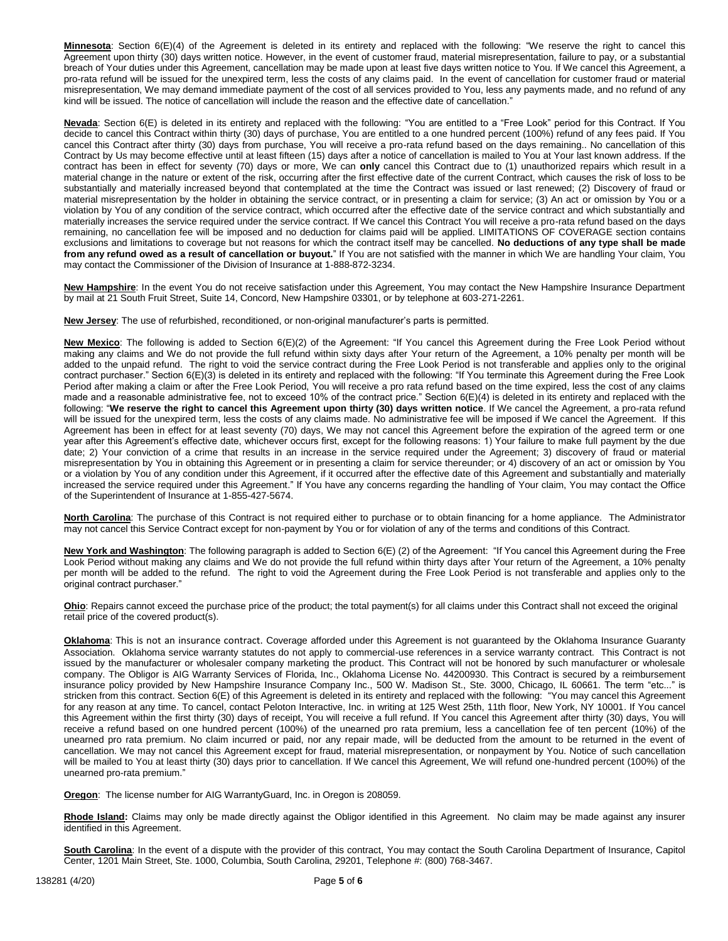**Minnesota**: Section 6(E)(4) of the Agreement is deleted in its entirety and replaced with the following: "We reserve the right to cancel this Agreement upon thirty (30) days written notice. However, in the event of customer fraud, material misrepresentation, failure to pay, or a substantial breach of Your duties under this Agreement, cancellation may be made upon at least five days written notice to You. If We cancel this Agreement, a pro-rata refund will be issued for the unexpired term, less the costs of any claims paid. In the event of cancellation for customer fraud or material misrepresentation, We may demand immediate payment of the cost of all services provided to You, less any payments made, and no refund of any kind will be issued. The notice of cancellation will include the reason and the effective date of cancellation."

**Nevada**: Section 6(E) is deleted in its entirety and replaced with the following: "You are entitled to a "Free Look" period for this Contract. If You decide to cancel this Contract within thirty (30) days of purchase, You are entitled to a one hundred percent (100%) refund of any fees paid. If You cancel this Contract after thirty (30) days from purchase, You will receive a pro-rata refund based on the days remaining.. No cancellation of this Contract by Us may become effective until at least fifteen (15) days after a notice of cancellation is mailed to You at Your last known address. If the contract has been in effect for seventy (70) days or more, We can **only** cancel this Contract due to (1) unauthorized repairs which result in a material change in the nature or extent of the risk, occurring after the first effective date of the current Contract, which causes the risk of loss to be substantially and materially increased beyond that contemplated at the time the Contract was issued or last renewed; (2) Discovery of fraud or material misrepresentation by the holder in obtaining the service contract, or in presenting a claim for service; (3) An act or omission by You or a violation by You of any condition of the service contract, which occurred after the effective date of the service contract and which substantially and materially increases the service required under the service contract. If We cancel this Contract You will receive a pro-rata refund based on the days remaining, no cancellation fee will be imposed and no deduction for claims paid will be applied. LIMITATIONS OF COVERAGE section contains exclusions and limitations to coverage but not reasons for which the contract itself may be cancelled. **No deductions of any type shall be made from any refund owed as a result of cancellation or buyout.**" If You are not satisfied with the manner in which We are handling Your claim, You may contact the Commissioner of the Division of Insurance at 1-888-872-3234.

**New Hampshire**: In the event You do not receive satisfaction under this Agreement, You may contact the New Hampshire Insurance Department by mail at 21 South Fruit Street, Suite 14, Concord, New Hampshire 03301, or by telephone at 603-271-2261.

**New Jersey**: The use of refurbished, reconditioned, or non-original manufacturer's parts is permitted.

**New Mexico**: The following is added to Section 6(E)(2) of the Agreement: "If You cancel this Agreement during the Free Look Period without making any claims and We do not provide the full refund within sixty days after Your return of the Agreement, a 10% penalty per month will be added to the unpaid refund. The right to void the service contract during the Free Look Period is not transferable and applies only to the original contract purchaser." Section 6(E)(3) is deleted in its entirety and replaced with the following: "If You terminate this Agreement during the Free Look Period after making a claim or after the Free Look Period, You will receive a pro rata refund based on the time expired, less the cost of any claims made and a reasonable administrative fee, not to exceed 10% of the contract price." Section 6(E)(4) is deleted in its entirety and replaced with the following: "**We reserve the right to cancel this Agreement upon thirty (30) days written notice**. If We cancel the Agreement, a pro-rata refund will be issued for the unexpired term, less the costs of any claims made. No administrative fee will be imposed if We cancel the Agreement. If this Agreement has been in effect for at least seventy (70) days, We may not cancel this Agreement before the expiration of the agreed term or one year after this Agreement's effective date, whichever occurs first, except for the following reasons: 1) Your failure to make full payment by the due date; 2) Your conviction of a crime that results in an increase in the service required under the Agreement; 3) discovery of fraud or material misrepresentation by You in obtaining this Agreement or in presenting a claim for service thereunder; or 4) discovery of an act or omission by You or a violation by You of any condition under this Agreement, if it occurred after the effective date of this Agreement and substantially and materially increased the service required under this Agreement." If You have any concerns regarding the handling of Your claim, You may contact the Office of the Superintendent of Insurance at 1-855-427-5674.

**North Carolina**: The purchase of this Contract is not required either to purchase or to obtain financing for a home appliance. The Administrator may not cancel this Service Contract except for non-payment by You or for violation of any of the terms and conditions of this Contract.

**New York and Washington**: The following paragraph is added to Section 6(E) (2) of the Agreement: "If You cancel this Agreement during the Free Look Period without making any claims and We do not provide the full refund within thirty days after Your return of the Agreement, a 10% penalty per month will be added to the refund. The right to void the Agreement during the Free Look Period is not transferable and applies only to the original contract purchaser."

**Ohio**: Repairs cannot exceed the purchase price of the product; the total payment(s) for all claims under this Contract shall not exceed the original retail price of the covered product(s).

**Oklahoma**: This is not an insurance contract. Coverage afforded under this Agreement is not guaranteed by the Oklahoma Insurance Guaranty Association. Oklahoma service warranty statutes do not apply to commercial-use references in a service warranty contract. This Contract is not issued by the manufacturer or wholesaler company marketing the product. This Contract will not be honored by such manufacturer or wholesale company. The Obligor is AIG Warranty Services of Florida, Inc., Oklahoma License No. 44200930. This Contract is secured by a reimbursement insurance policy provided by New Hampshire Insurance Company Inc., 500 W. Madison St., Ste. 3000, Chicago, IL 60661. The term "etc..." is stricken from this contract. Section 6(E) of this Agreement is deleted in its entirety and replaced with the following: "You may cancel this Agreement for any reason at any time. To cancel, contact Peloton Interactive, Inc. in writing at 125 West 25th, 11th floor, New York, NY 10001. If You cancel this Agreement within the first thirty (30) days of receipt, You will receive a full refund. If You cancel this Agreement after thirty (30) days, You will receive a refund based on one hundred percent (100%) of the unearned pro rata premium, less a cancellation fee of ten percent (10%) of the unearned pro rata premium. No claim incurred or paid, nor any repair made, will be deducted from the amount to be returned in the event of cancellation. We may not cancel this Agreement except for fraud, material misrepresentation, or nonpayment by You. Notice of such cancellation will be mailed to You at least thirty (30) days prior to cancellation. If We cancel this Agreement, We will refund one-hundred percent (100%) of the unearned pro-rata premium."

**Oregon**: The license number for AIG WarrantyGuard, Inc. in Oregon is 208059.

**Rhode Island:** Claims may only be made directly against the Obligor identified in this Agreement. No claim may be made against any insurer identified in this Agreement.

**South Carolina**: In the event of a dispute with the provider of this contract, You may contact the South Carolina Department of Insurance, Capitol Center, 1201 Main Street, Ste. 1000, Columbia, South Carolina, 29201, Telephone #: (800) 768-3467.